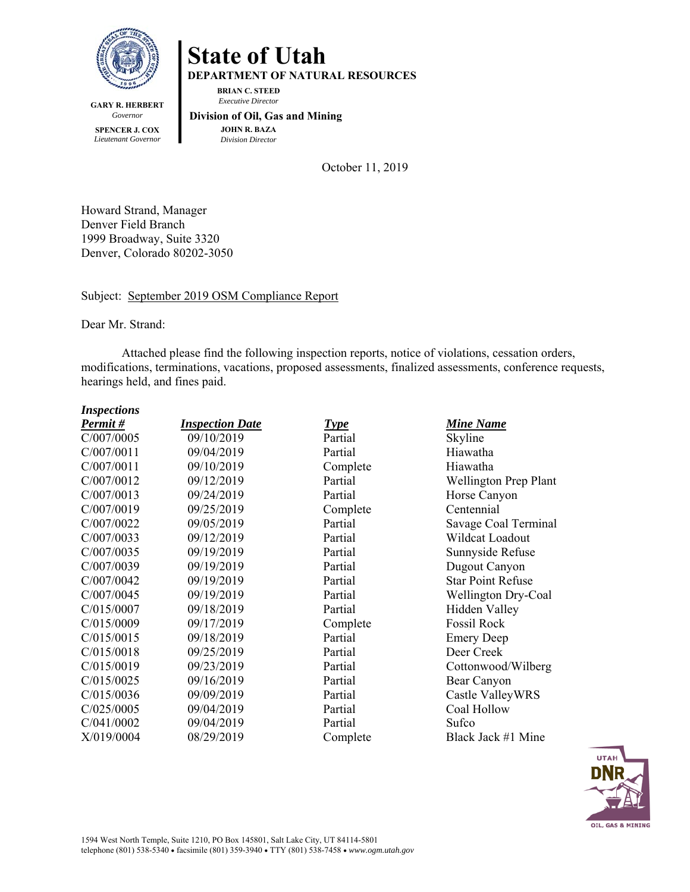

## **State of Utah**

**DEPARTMENT OF NATURAL RESOURCES** 

**BRIAN C. STEED**   *Executive Director* 

**GARY R. HERBERT**  *Governor*  **SPENCER J. COX**  *Lieutenant Governor* 

 **Division of Oil, Gas and Mining JOHN R. BAZA**  *Division Director*

October 11, 2019

Howard Strand, Manager Denver Field Branch 1999 Broadway, Suite 3320 Denver, Colorado 80202-3050

## Subject: September 2019 OSM Compliance Report

Dear Mr. Strand:

Attached please find the following inspection reports, notice of violations, cessation orders, modifications, terminations, vacations, proposed assessments, finalized assessments, conference requests, hearings held, and fines paid.

| <b>Inspections</b> |  |  |
|--------------------|--|--|
|                    |  |  |

| Permit#    | <b>Inspection Date</b> | <b>Type</b> | <b>Mine Name</b>         |
|------------|------------------------|-------------|--------------------------|
| C/007/0005 | 09/10/2019             | Partial     | Skyline                  |
| C/007/0011 | 09/04/2019             | Partial     | Hiawatha                 |
| C/007/0011 | 09/10/2019             | Complete    | Hiawatha                 |
| C/007/0012 | 09/12/2019             | Partial     | Wellington Prep Plant    |
| C/007/0013 | 09/24/2019             | Partial     | Horse Canyon             |
| C/007/0019 | 09/25/2019             | Complete    | Centennial               |
| C/007/0022 | 09/05/2019             | Partial     | Savage Coal Terminal     |
| C/007/0033 | 09/12/2019             | Partial     | Wildcat Loadout          |
| C/007/0035 | 09/19/2019             | Partial     | Sunnyside Refuse         |
| C/007/0039 | 09/19/2019             | Partial     | Dugout Canyon            |
| C/007/0042 | 09/19/2019             | Partial     | <b>Star Point Refuse</b> |
| C/007/0045 | 09/19/2019             | Partial     | Wellington Dry-Coal      |
| C/015/0007 | 09/18/2019             | Partial     | Hidden Valley            |
| C/015/0009 | 09/17/2019             | Complete    | Fossil Rock              |
| C/015/0015 | 09/18/2019             | Partial     | <b>Emery Deep</b>        |
| C/015/0018 | 09/25/2019             | Partial     | Deer Creek               |
| C/015/0019 | 09/23/2019             | Partial     | Cottonwood/Wilberg       |
| C/015/0025 | 09/16/2019             | Partial     | Bear Canyon              |
| C/015/0036 | 09/09/2019             | Partial     | Castle ValleyWRS         |
| C/025/0005 | 09/04/2019             | Partial     | Coal Hollow              |
| C/041/0002 | 09/04/2019             | Partial     | Sufco                    |
| X/019/0004 | 08/29/2019             | Complete    | Black Jack #1 Mine       |
|            |                        |             |                          |